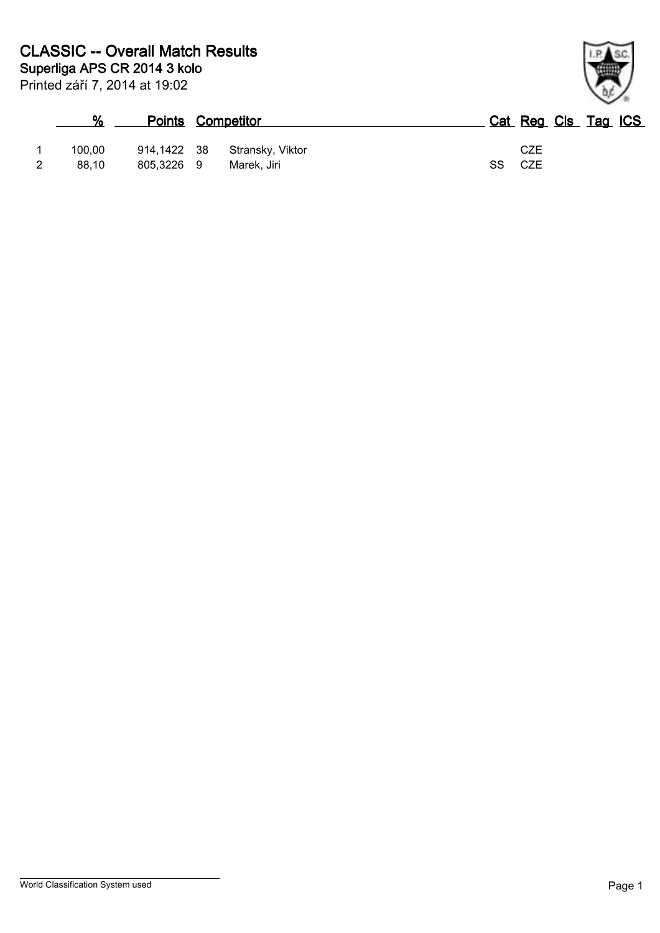| %      | <b>Points Competitor</b> |                  | Cat Reg Cls Tag ICS |
|--------|--------------------------|------------------|---------------------|
| 100.00 | 914,1422 38              | Stransky, Viktor | CZE                 |
| 88.10  | 805,3226 9               | Marek. Jiri      | SS<br>CZE           |

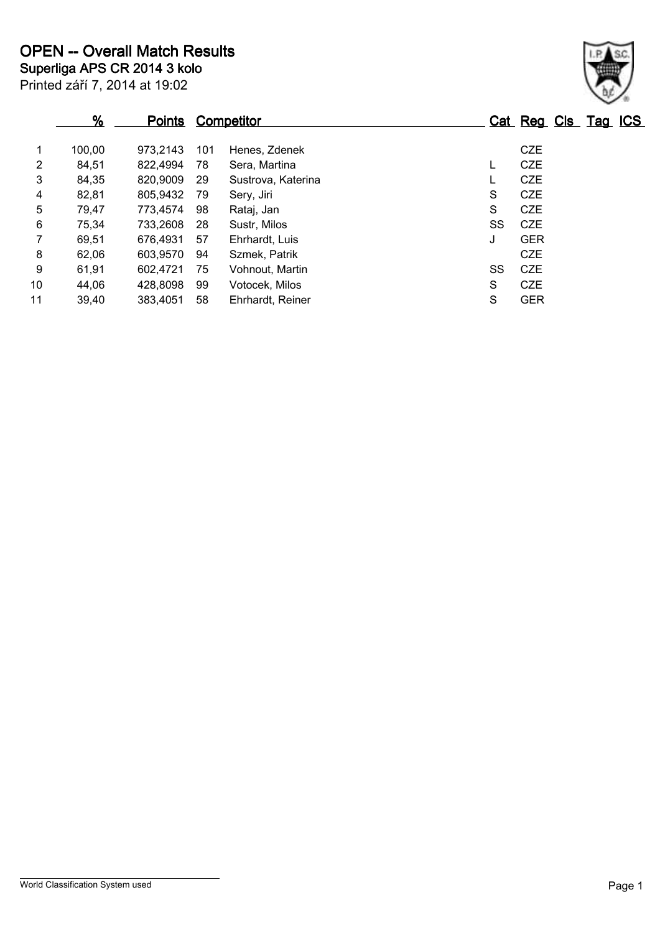|                | %      | <u>Points</u> |     | <b>Competitor</b>  |    | Cat Reg Cls Tag ICS |  |  |
|----------------|--------|---------------|-----|--------------------|----|---------------------|--|--|
| 1              | 100,00 | 973,2143      | 101 | Henes, Zdenek      |    | <b>CZE</b>          |  |  |
| $\overline{2}$ | 84,51  | 822,4994      | 78  | Sera, Martina      | L  | <b>CZE</b>          |  |  |
| 3              | 84,35  | 820,9009      | -29 | Sustrova, Katerina | L  | <b>CZE</b>          |  |  |
| 4              | 82,81  | 805,9432      | 79  | Sery, Jiri         | S  | <b>CZE</b>          |  |  |
| 5              | 79,47  | 773,4574      | 98  | Rataj, Jan         | S  | <b>CZE</b>          |  |  |
| 6              | 75,34  | 733,2608      | -28 | Sustr, Milos       | SS | <b>CZE</b>          |  |  |
| $\overline{7}$ | 69,51  | 676,4931      | 57  | Ehrhardt, Luis     | J  | <b>GER</b>          |  |  |
| 8              | 62,06  | 603,9570      | 94  | Szmek, Patrik      |    | <b>CZE</b>          |  |  |
| 9              | 61,91  | 602,4721      | 75  | Vohnout, Martin    | SS | <b>CZE</b>          |  |  |
| 10             | 44.06  | 428,8098      | 99  | Votocek, Milos     | S  | <b>CZE</b>          |  |  |
| 11             | 39,40  | 383,4051      | 58  | Ehrhardt, Reiner   | S  | <b>GER</b>          |  |  |

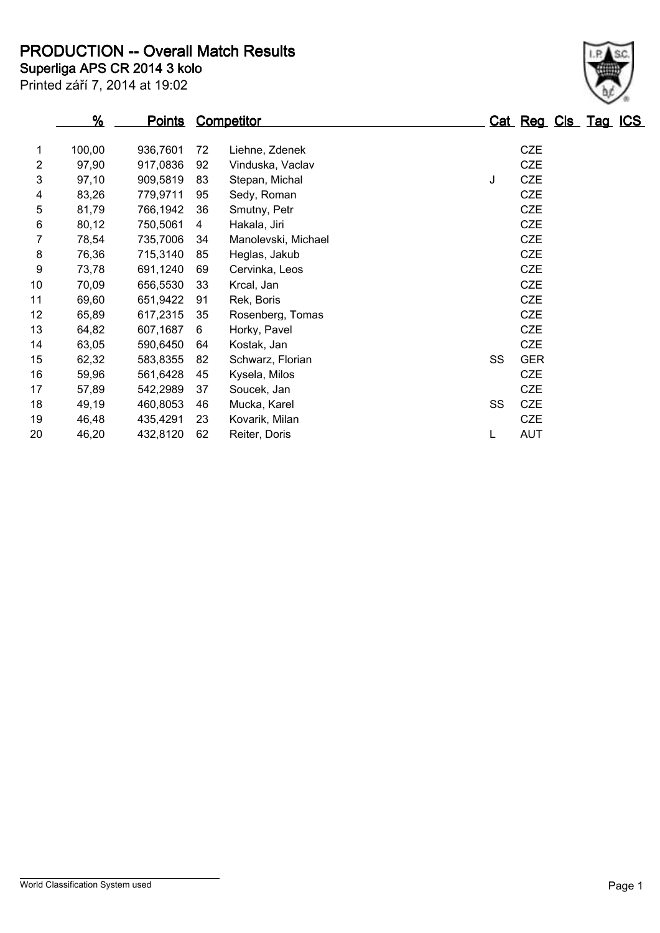**Superliga APS CR 2014 3 kolo PRODUCTION -- Overall Match Results**

Printed září 7, 2014 at 19:02

|             | %      | <u>Points</u> |    | Competitor          |    | Cat Reg Cls Tag ICS |  |  |
|-------------|--------|---------------|----|---------------------|----|---------------------|--|--|
| $\mathbf 1$ | 100,00 | 936,7601      | 72 | Liehne, Zdenek      |    | <b>CZE</b>          |  |  |
| 2           | 97,90  | 917,0836      | 92 | Vinduska, Vaclav    |    | <b>CZE</b>          |  |  |
| 3           | 97,10  | 909,5819      | 83 | Stepan, Michal      | J  | <b>CZE</b>          |  |  |
| 4           | 83,26  | 779,9711      | 95 | Sedy, Roman         |    | <b>CZE</b>          |  |  |
| 5           | 81,79  | 766,1942      | 36 | Smutny, Petr        |    | <b>CZE</b>          |  |  |
| 6           | 80,12  | 750,5061      | 4  | Hakala, Jiri        |    | <b>CZE</b>          |  |  |
|             | 78,54  | 735,7006      | 34 | Manolevski, Michael |    | <b>CZE</b>          |  |  |
| 8           | 76,36  | 715,3140      | 85 | Heglas, Jakub       |    | <b>CZE</b>          |  |  |
| 9           | 73,78  | 691,1240      | 69 | Cervinka, Leos      |    | <b>CZE</b>          |  |  |
| 10          | 70,09  | 656,5530      | 33 | Krcal, Jan          |    | <b>CZE</b>          |  |  |
| 11          | 69,60  | 651,9422      | 91 | Rek, Boris          |    | <b>CZE</b>          |  |  |
| 12          | 65,89  | 617,2315      | 35 | Rosenberg, Tomas    |    | <b>CZE</b>          |  |  |
| 13          | 64,82  | 607,1687      | 6  | Horky, Pavel        |    | <b>CZE</b>          |  |  |
| 14          | 63,05  | 590,6450      | 64 | Kostak, Jan         |    | <b>CZE</b>          |  |  |
| 15          | 62,32  | 583,8355      | 82 | Schwarz, Florian    | SS | <b>GER</b>          |  |  |
| 16          | 59,96  | 561,6428      | 45 | Kysela, Milos       |    | <b>CZE</b>          |  |  |
| 17          | 57,89  | 542,2989      | 37 | Soucek, Jan         |    | <b>CZE</b>          |  |  |
| 18          | 49,19  | 460,8053      | 46 | Mucka, Karel        | SS | <b>CZE</b>          |  |  |
| 19          | 46,48  | 435,4291      | 23 | Kovarik, Milan      |    | <b>CZE</b>          |  |  |
| 20          | 46,20  | 432,8120      | 62 | Reiter, Doris       | L  | <b>AUT</b>          |  |  |

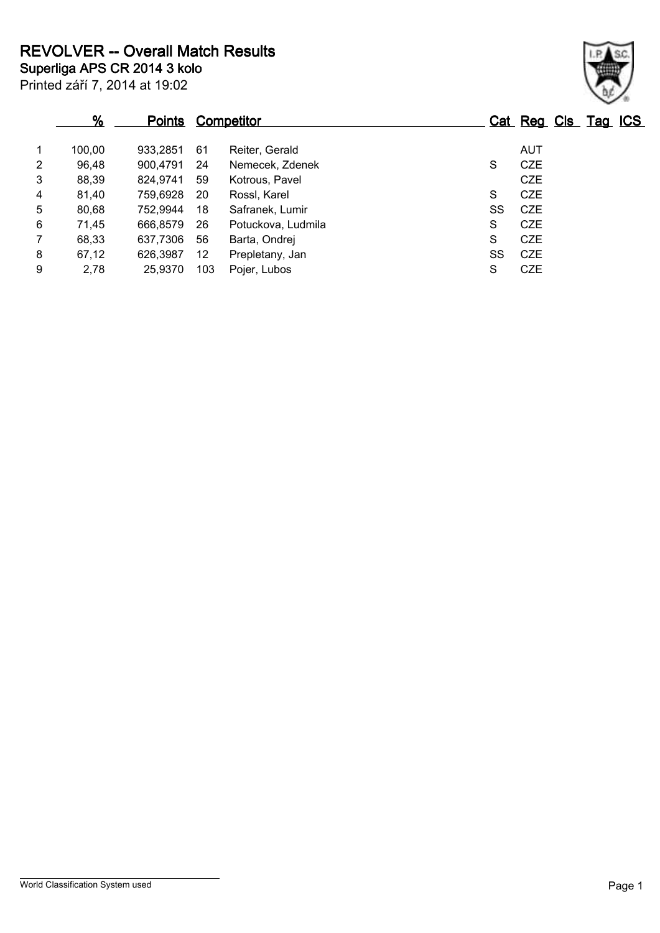Printed září 7, 2014 at 19:02 **Superliga APS CR 2014 3 kolo REVOLVER -- Overall Match Results**

|                | %      | <b>Points</b> |     | <b>Competitor</b>  |    | Cat Reg Cls Tag ICS |  |  |
|----------------|--------|---------------|-----|--------------------|----|---------------------|--|--|
| $\mathbf 1$    | 100,00 | 933.2851      | 61  | Reiter, Gerald     |    | AUT                 |  |  |
| 2              | 96,48  | 900,4791      | 24  | Nemecek, Zdenek    | S  | CZE                 |  |  |
| 3              | 88,39  | 824,9741      | 59  | Kotrous, Pavel     |    | CZE                 |  |  |
| 4              | 81,40  | 759,6928      | -20 | Rossl, Karel       | S  | <b>CZE</b>          |  |  |
| 5              | 80,68  | 752,9944      | 18  | Safranek, Lumir    | SS | CZE                 |  |  |
| 6              | 71,45  | 666.8579      | 26  | Potuckova, Ludmila | S  | <b>CZE</b>          |  |  |
| $\overline{7}$ | 68,33  | 637,7306      | 56  | Barta, Ondrej      | S  | CZE                 |  |  |
| 8              | 67,12  | 626,3987      | 12  | Prepletany, Jan    | SS | CZE                 |  |  |
| 9              | 2,78   | 25,9370       | 103 | Pojer, Lubos       | S  | <b>CZE</b>          |  |  |